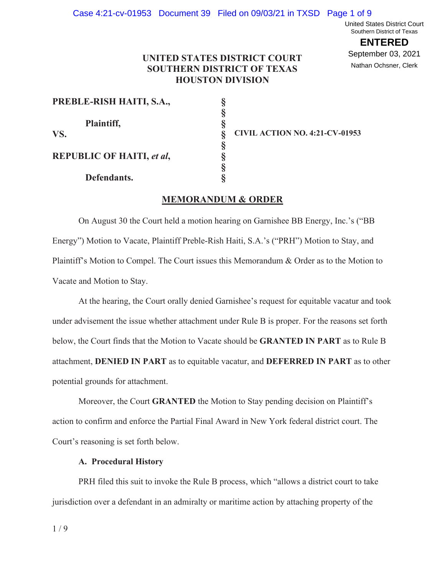United States District Court Southern District of Texas

**ENTERED** September 03, 2021 Nathan Ochsner, Clerk

# **UNITED STATES DISTRICT COURT SOUTHERN DISTRICT OF TEXAS HOUSTON DIVISION**

**§ § § § § § §** 

| PREBLE-RISH HAITI, S.A., |  |
|--------------------------|--|
|--------------------------|--|

 **Plaintiff, REPUBLIC OF HAITI,** *et al***,** 

**VS. CIVIL ACTION NO. 4:21-CV-01953** 

 **Defendants.** 

# **MEMORANDUM & ORDER**

On August 30 the Court held a motion hearing on Garnishee BB Energy, Inc.'s ("BB Energy") Motion to Vacate, Plaintiff Preble-Rish Haiti, S.A.'s ("PRH") Motion to Stay, and Plaintiff's Motion to Compel. The Court issues this Memorandum & Order as to the Motion to Vacate and Motion to Stay.

At the hearing, the Court orally denied Garnishee's request for equitable vacatur and took under advisement the issue whether attachment under Rule B is proper. For the reasons set forth below, the Court finds that the Motion to Vacate should be **GRANTED IN PART** as to Rule B attachment, **DENIED IN PART** as to equitable vacatur, and **DEFERRED IN PART** as to other potential grounds for attachment.

Moreover, the Court **GRANTED** the Motion to Stay pending decision on Plaintiff's action to confirm and enforce the Partial Final Award in New York federal district court. The Court's reasoning is set forth below.

## **A. Procedural History**

PRH filed this suit to invoke the Rule B process, which "allows a district court to take jurisdiction over a defendant in an admiralty or maritime action by attaching property of the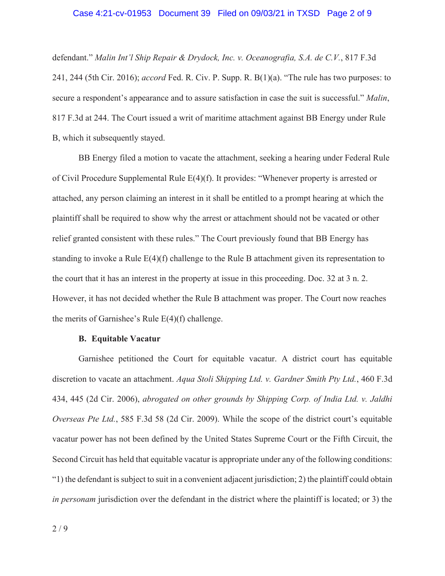#### Case 4:21-cv-01953 Document 39 Filed on 09/03/21 in TXSD Page 2 of 9

defendant." *Malin Int'l Ship Repair & Drydock, Inc. v. Oceanografia, S.A. de C.V.*, 817 F.3d 241, 244 (5th Cir. 2016); *accord* Fed. R. Civ. P. Supp. R. B(1)(a). "The rule has two purposes: to secure a respondent's appearance and to assure satisfaction in case the suit is successful." *Malin*, 817 F.3d at 244. The Court issued a writ of maritime attachment against BB Energy under Rule B, which it subsequently stayed.

BB Energy filed a motion to vacate the attachment, seeking a hearing under Federal Rule of Civil Procedure Supplemental Rule E(4)(f). It provides: "Whenever property is arrested or attached, any person claiming an interest in it shall be entitled to a prompt hearing at which the plaintiff shall be required to show why the arrest or attachment should not be vacated or other relief granted consistent with these rules." The Court previously found that BB Energy has standing to invoke a Rule E(4)(f) challenge to the Rule B attachment given its representation to the court that it has an interest in the property at issue in this proceeding. Doc. 32 at 3 n. 2. However, it has not decided whether the Rule B attachment was proper. The Court now reaches the merits of Garnishee's Rule  $E(4)(f)$  challenge.

#### **B. Equitable Vacatur**

Garnishee petitioned the Court for equitable vacatur. A district court has equitable discretion to vacate an attachment. *Aqua Stoli Shipping Ltd. v. Gardner Smith Pty Ltd.*, 460 F.3d 434, 445 (2d Cir. 2006), *abrogated on other grounds by Shipping Corp. of India Ltd. v. Jaldhi Overseas Pte Ltd.*, 585 F.3d 58 (2d Cir. 2009). While the scope of the district court's equitable vacatur power has not been defined by the United States Supreme Court or the Fifth Circuit, the Second Circuit has held that equitable vacatur is appropriate under any of the following conditions: "1) the defendant is subject to suit in a convenient adjacent jurisdiction; 2) the plaintiff could obtain *in personam* jurisdiction over the defendant in the district where the plaintiff is located; or 3) the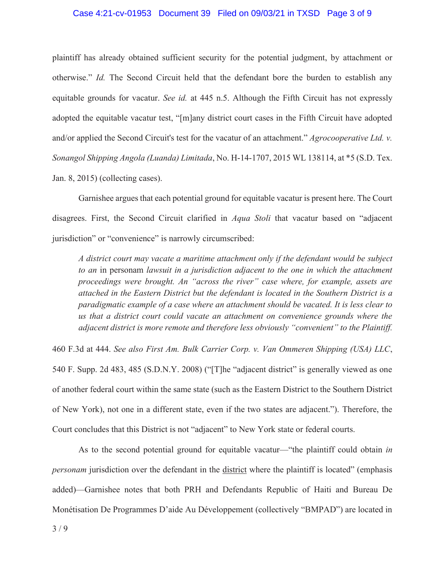### Case 4:21-cv-01953 Document 39 Filed on 09/03/21 in TXSD Page 3 of 9

plaintiff has already obtained sufficient security for the potential judgment, by attachment or otherwise." *Id.* The Second Circuit held that the defendant bore the burden to establish any equitable grounds for vacatur. *See id.* at 445 n.5. Although the Fifth Circuit has not expressly adopted the equitable vacatur test, "[m]any district court cases in the Fifth Circuit have adopted and/or applied the Second Circuit's test for the vacatur of an attachment." *Agrocooperative Ltd. v. Sonangol Shipping Angola (Luanda) Limitada*, No. H-14-1707, 2015 WL 138114, at \*5 (S.D. Tex. Jan. 8, 2015) (collecting cases).

Garnishee argues that each potential ground for equitable vacatur is present here. The Court disagrees. First, the Second Circuit clarified in *Aqua Stoli* that vacatur based on "adjacent jurisdiction" or "convenience" is narrowly circumscribed:

*A district court may vacate a maritime attachment only if the defendant would be subject to an* in personam *lawsuit in a jurisdiction adjacent to the one in which the attachment proceedings were brought. An "across the river" case where, for example, assets are attached in the Eastern District but the defendant is located in the Southern District is a paradigmatic example of a case where an attachment should be vacated. It is less clear to us that a district court could vacate an attachment on convenience grounds where the adjacent district is more remote and therefore less obviously "convenient" to the Plaintiff.*

460 F.3d at 444. *See also First Am. Bulk Carrier Corp. v. Van Ommeren Shipping (USA) LLC*, 540 F. Supp. 2d 483, 485 (S.D.N.Y. 2008) ("[T]he "adjacent district" is generally viewed as one of another federal court within the same state (such as the Eastern District to the Southern District of New York), not one in a different state, even if the two states are adjacent."). Therefore, the Court concludes that this District is not "adjacent" to New York state or federal courts.

 As to the second potential ground for equitable vacatur—"the plaintiff could obtain *in personam* jurisdiction over the defendant in the district where the plaintiff is located" (emphasis added)—Garnishee notes that both PRH and Defendants Republic of Haiti and Bureau De Monétisation De Programmes D'aide Au Développement (collectively "BMPAD") are located in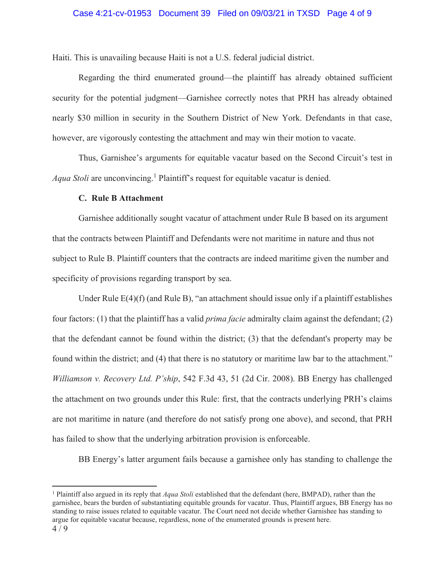Haiti. This is unavailing because Haiti is not a U.S. federal judicial district.

 Regarding the third enumerated ground—the plaintiff has already obtained sufficient security for the potential judgment—Garnishee correctly notes that PRH has already obtained nearly \$30 million in security in the Southern District of New York. Defendants in that case, however, are vigorously contesting the attachment and may win their motion to vacate.

Thus, Garnishee's arguments for equitable vacatur based on the Second Circuit's test in *Aqua Stoli* are unconvincing.<sup>1</sup> Plaintiff's request for equitable vacatur is denied.

### **C. Rule B Attachment**

Garnishee additionally sought vacatur of attachment under Rule B based on its argument that the contracts between Plaintiff and Defendants were not maritime in nature and thus not subject to Rule B. Plaintiff counters that the contracts are indeed maritime given the number and specificity of provisions regarding transport by sea.

Under Rule  $E(4)(f)$  (and Rule B), "an attachment should issue only if a plaintiff establishes four factors: (1) that the plaintiff has a valid *prima facie* admiralty claim against the defendant; (2) that the defendant cannot be found within the district; (3) that the defendant's property may be found within the district; and (4) that there is no statutory or maritime law bar to the attachment." *Williamson v. Recovery Ltd. P'ship*, 542 F.3d 43, 51 (2d Cir. 2008). BB Energy has challenged the attachment on two grounds under this Rule: first, that the contracts underlying PRH's claims are not maritime in nature (and therefore do not satisfy prong one above), and second, that PRH has failed to show that the underlying arbitration provision is enforceable.

BB Energy's latter argument fails because a garnishee only has standing to challenge the

<sup>1</sup> Plaintiff also argued in its reply that *Aqua Stoli* established that the defendant (here, BMPAD), rather than the garnishee, bears the burden of substantiating equitable grounds for vacatur. Thus, Plaintiff argues, BB Energy has no standing to raise issues related to equitable vacatur. The Court need not decide whether Garnishee has standing to argue for equitable vacatur because, regardless, none of the enumerated grounds is present here.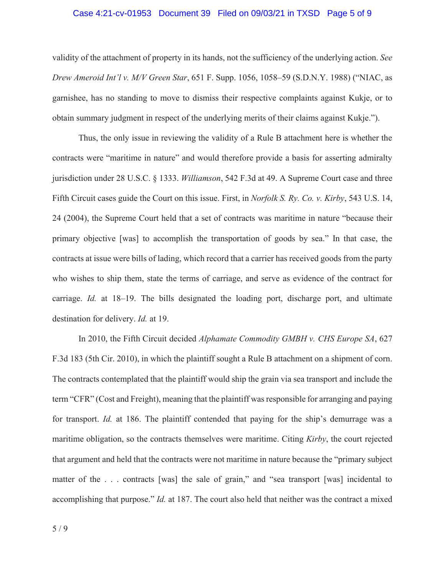### Case 4:21-cv-01953 Document 39 Filed on 09/03/21 in TXSD Page 5 of 9

validity of the attachment of property in its hands, not the sufficiency of the underlying action. *See Drew Ameroid Int'l v. M/V Green Star*, 651 F. Supp. 1056, 1058–59 (S.D.N.Y. 1988) ("NIAC, as garnishee, has no standing to move to dismiss their respective complaints against Kukje, or to obtain summary judgment in respect of the underlying merits of their claims against Kukje.").

Thus, the only issue in reviewing the validity of a Rule B attachment here is whether the contracts were "maritime in nature" and would therefore provide a basis for asserting admiralty jurisdiction under 28 U.S.C. § 1333. *Williamson*, 542 F.3d at 49. A Supreme Court case and three Fifth Circuit cases guide the Court on this issue. First, in *Norfolk S. Ry. Co. v. Kirby*, 543 U.S. 14, 24 (2004), the Supreme Court held that a set of contracts was maritime in nature "because their primary objective [was] to accomplish the transportation of goods by sea." In that case, the contracts at issue were bills of lading, which record that a carrier has received goods from the party who wishes to ship them, state the terms of carriage, and serve as evidence of the contract for carriage. *Id.* at 18–19. The bills designated the loading port, discharge port, and ultimate destination for delivery. *Id.* at 19.

 In 2010, the Fifth Circuit decided *Alphamate Commodity GMBH v. CHS Europe SA*, 627 F.3d 183 (5th Cir. 2010), in which the plaintiff sought a Rule B attachment on a shipment of corn. The contracts contemplated that the plaintiff would ship the grain via sea transport and include the term "CFR" (Cost and Freight), meaning that the plaintiff was responsible for arranging and paying for transport. *Id.* at 186. The plaintiff contended that paying for the ship's demurrage was a maritime obligation, so the contracts themselves were maritime. Citing *Kirby*, the court rejected that argument and held that the contracts were not maritime in nature because the "primary subject matter of the ... contracts [was] the sale of grain," and "sea transport [was] incidental to accomplishing that purpose." *Id.* at 187. The court also held that neither was the contract a mixed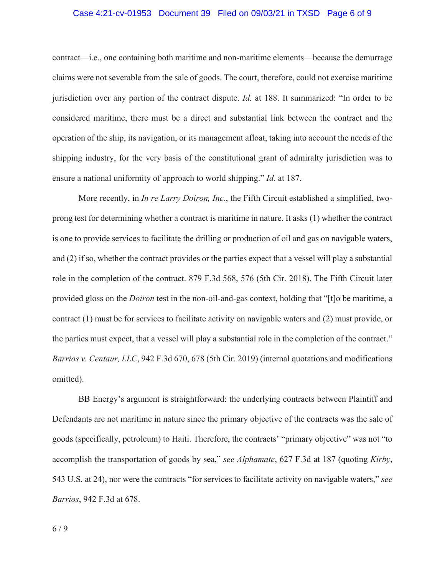### Case 4:21-cv-01953 Document 39 Filed on 09/03/21 in TXSD Page 6 of 9

contract—i.e., one containing both maritime and non-maritime elements—because the demurrage claims were not severable from the sale of goods. The court, therefore, could not exercise maritime jurisdiction over any portion of the contract dispute. *Id.* at 188. It summarized: "In order to be considered maritime, there must be a direct and substantial link between the contract and the operation of the ship, its navigation, or its management afloat, taking into account the needs of the shipping industry, for the very basis of the constitutional grant of admiralty jurisdiction was to ensure a national uniformity of approach to world shipping." *Id.* at 187.

More recently, in *In re Larry Doiron, Inc.*, the Fifth Circuit established a simplified, twoprong test for determining whether a contract is maritime in nature. It asks (1) whether the contract is one to provide services to facilitate the drilling or production of oil and gas on navigable waters, and (2) if so, whether the contract provides or the parties expect that a vessel will play a substantial role in the completion of the contract. 879 F.3d 568, 576 (5th Cir. 2018). The Fifth Circuit later provided gloss on the *Doiron* test in the non-oil-and-gas context, holding that "[t]o be maritime, a contract (1) must be for services to facilitate activity on navigable waters and (2) must provide, or the parties must expect, that a vessel will play a substantial role in the completion of the contract." *Barrios v. Centaur, LLC*, 942 F.3d 670, 678 (5th Cir. 2019) (internal quotations and modifications omitted).

BB Energy's argument is straightforward: the underlying contracts between Plaintiff and Defendants are not maritime in nature since the primary objective of the contracts was the sale of goods (specifically, petroleum) to Haiti. Therefore, the contracts' "primary objective" was not "to accomplish the transportation of goods by sea," *see Alphamate*, 627 F.3d at 187 (quoting *Kirby*, 543 U.S. at 24), nor were the contracts "for services to facilitate activity on navigable waters," *see Barrios*, 942 F.3d at 678.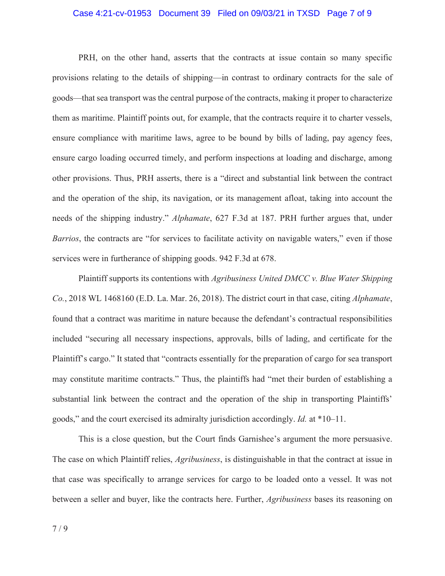### Case 4:21-cv-01953 Document 39 Filed on 09/03/21 in TXSD Page 7 of 9

PRH, on the other hand, asserts that the contracts at issue contain so many specific provisions relating to the details of shipping—in contrast to ordinary contracts for the sale of goods—that sea transport was the central purpose of the contracts, making it proper to characterize them as maritime. Plaintiff points out, for example, that the contracts require it to charter vessels, ensure compliance with maritime laws, agree to be bound by bills of lading, pay agency fees, ensure cargo loading occurred timely, and perform inspections at loading and discharge, among other provisions. Thus, PRH asserts, there is a "direct and substantial link between the contract and the operation of the ship, its navigation, or its management afloat, taking into account the needs of the shipping industry." *Alphamate*, 627 F.3d at 187. PRH further argues that, under *Barrios*, the contracts are "for services to facilitate activity on navigable waters," even if those services were in furtherance of shipping goods. 942 F.3d at 678.

Plaintiff supports its contentions with *Agribusiness United DMCC v. Blue Water Shipping Co.*, 2018 WL 1468160 (E.D. La. Mar. 26, 2018). The district court in that case, citing *Alphamate*, found that a contract was maritime in nature because the defendant's contractual responsibilities included "securing all necessary inspections, approvals, bills of lading, and certificate for the Plaintiff's cargo." It stated that "contracts essentially for the preparation of cargo for sea transport may constitute maritime contracts." Thus, the plaintiffs had "met their burden of establishing a substantial link between the contract and the operation of the ship in transporting Plaintiffs' goods," and the court exercised its admiralty jurisdiction accordingly. *Id.* at \*10–11.

This is a close question, but the Court finds Garnishee's argument the more persuasive. The case on which Plaintiff relies, *Agribusiness*, is distinguishable in that the contract at issue in that case was specifically to arrange services for cargo to be loaded onto a vessel. It was not between a seller and buyer, like the contracts here. Further, *Agribusiness* bases its reasoning on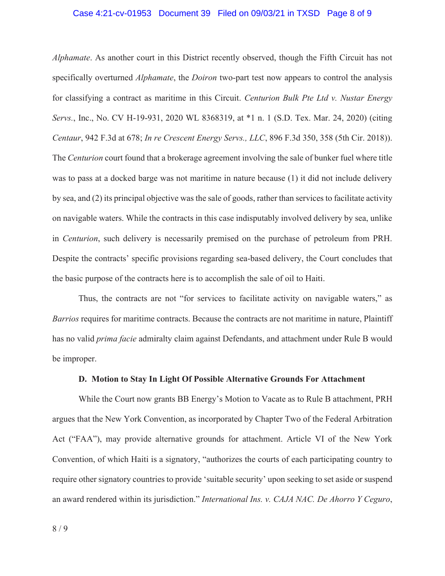### Case 4:21-cv-01953 Document 39 Filed on 09/03/21 in TXSD Page 8 of 9

*Alphamate*. As another court in this District recently observed, though the Fifth Circuit has not specifically overturned *Alphamate*, the *Doiron* two-part test now appears to control the analysis for classifying a contract as maritime in this Circuit. *Centurion Bulk Pte Ltd v. Nustar Energy Servs.*, Inc., No. CV H-19-931, 2020 WL 8368319, at \*1 n. 1 (S.D. Tex. Mar. 24, 2020) (citing *Centaur*, 942 F.3d at 678; *In re Crescent Energy Servs., LLC*, 896 F.3d 350, 358 (5th Cir. 2018)). The *Centurion* court found that a brokerage agreement involving the sale of bunker fuel where title was to pass at a docked barge was not maritime in nature because (1) it did not include delivery by sea, and (2) its principal objective was the sale of goods, rather than services to facilitate activity on navigable waters. While the contracts in this case indisputably involved delivery by sea, unlike in *Centurion*, such delivery is necessarily premised on the purchase of petroleum from PRH. Despite the contracts' specific provisions regarding sea-based delivery, the Court concludes that the basic purpose of the contracts here is to accomplish the sale of oil to Haiti.

Thus, the contracts are not "for services to facilitate activity on navigable waters," as *Barrios* requires for maritime contracts. Because the contracts are not maritime in nature, Plaintiff has no valid *prima facie* admiralty claim against Defendants, and attachment under Rule B would be improper.

#### **D. Motion to Stay In Light Of Possible Alternative Grounds For Attachment**

While the Court now grants BB Energy's Motion to Vacate as to Rule B attachment, PRH argues that the New York Convention, as incorporated by Chapter Two of the Federal Arbitration Act ("FAA"), may provide alternative grounds for attachment. Article VI of the New York Convention, of which Haiti is a signatory, "authorizes the courts of each participating country to require other signatory countries to provide 'suitable security' upon seeking to set aside or suspend an award rendered within its jurisdiction." *International Ins. v. CAJA NAC. De Ahorro Y Ceguro*,